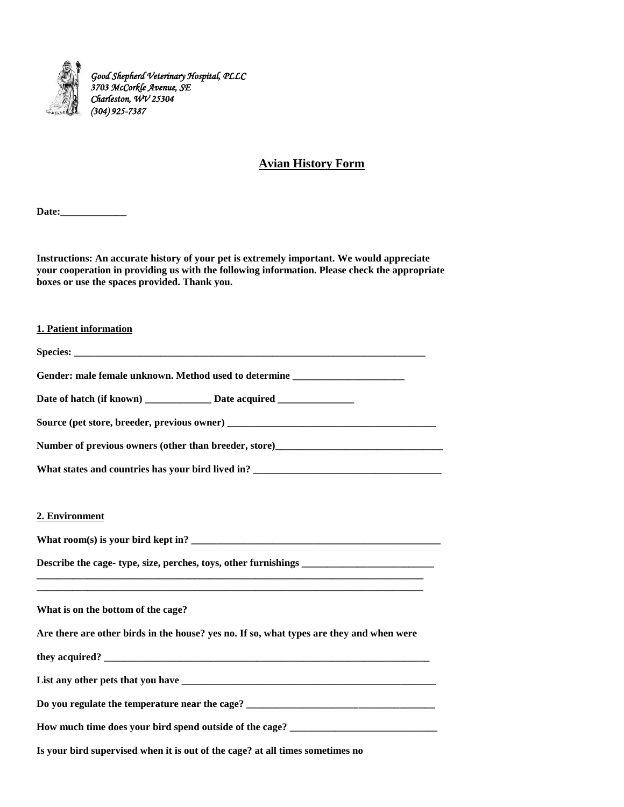

# **Avian History Form**

**Date:\_\_\_\_\_\_\_\_\_\_\_\_\_** 

**Instructions: An accurate history of your pet is extremely important. We would appreciate your cooperation in providing us with the following information. Please check the appropriate boxes or use the spaces provided. Thank you.** 

#### **1. Patient information**

| Gender: male female unknown. Method used to determine __________________________                    |
|-----------------------------------------------------------------------------------------------------|
| Date of hatch (if known) _______________ Date acquired __________________________                   |
|                                                                                                     |
| Number of previous owners (other than breeder, store)<br><u>Letter and the contract of previous</u> |
| What states and countries has your bird lived in? ______________________________                    |

#### 2. Environment

**What room(s) is your bird kept in? \_\_\_\_\_\_\_\_\_\_\_\_\_\_\_\_\_\_\_\_\_\_\_\_\_\_\_\_\_\_\_\_\_\_\_\_\_\_\_\_\_\_\_\_\_\_\_\_\_** 

**Describe the cage- type, size, perches, toys, other furnishings \_\_\_\_\_\_\_\_\_\_\_\_\_\_\_\_\_\_\_\_\_\_\_\_\_\_** 

**What is on the bottom of the cage?** 

**Are there are other birds in the house? yes no. If so, what types are they and when were** 

**\_\_\_\_\_\_\_\_\_\_\_\_\_\_\_\_\_\_\_\_\_\_\_\_\_\_\_\_\_\_\_\_\_\_\_\_\_\_\_\_\_\_\_\_\_\_\_\_\_\_\_\_\_\_\_\_\_\_\_\_\_\_\_\_\_\_\_\_\_\_\_\_\_\_\_\_ \_\_\_\_\_\_\_\_\_\_\_\_\_\_\_\_\_\_\_\_\_\_\_\_\_\_\_\_\_\_\_\_\_\_\_\_\_\_\_\_\_\_\_\_\_\_\_\_\_\_\_\_\_\_\_\_\_\_\_\_\_\_\_\_\_\_\_\_\_\_\_\_\_\_\_\_** 

| they acquired? |  |
|----------------|--|
|                |  |

| List any other pets that you have |  |
|-----------------------------------|--|
|-----------------------------------|--|

**Do you regulate the temperature near the cage? \_\_\_\_\_\_\_\_\_\_\_\_\_\_\_\_\_\_\_\_\_\_\_\_\_\_\_\_\_\_\_\_\_\_\_\_\_** 

**How much time does your bird spend outside of the cage? \_\_\_\_\_\_\_\_\_\_\_\_\_\_\_\_\_\_\_\_\_\_\_\_\_\_\_\_\_** 

**Is your bird supervised when it is out of the cage? at all times sometimes no**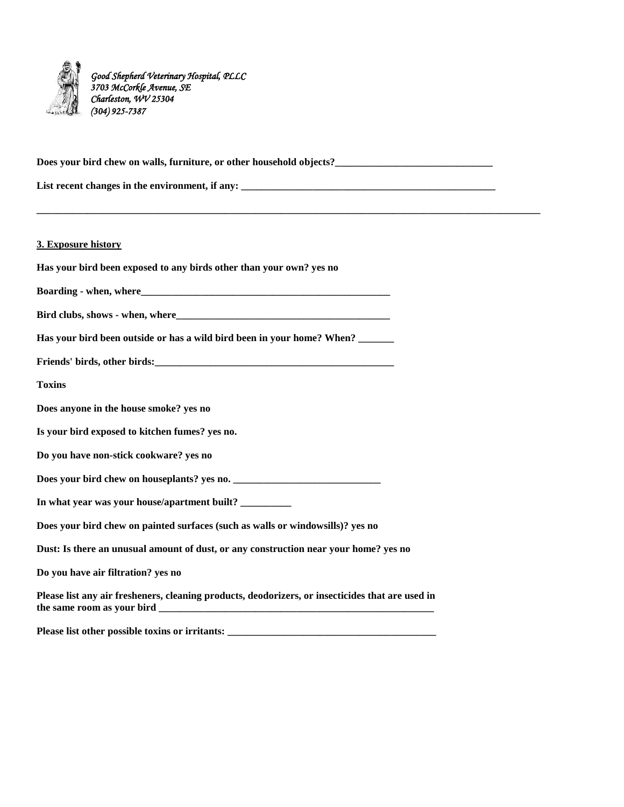

**Does your bird chew on walls, furniture, or other household objects?\_\_\_\_\_\_\_\_\_\_\_\_\_\_\_\_\_\_\_\_\_\_\_\_\_\_\_\_\_\_\_** List recent changes in the environment, if any: **\_\_\_\_\_\_\_\_\_\_\_\_\_\_\_\_\_\_\_\_\_\_\_\_\_\_\_\_\_\_\_\_\_\_\_\_\_\_\_\_\_\_\_\_\_\_\_\_\_\_\_\_\_\_\_\_\_\_\_\_\_\_\_\_\_\_\_\_\_\_\_\_\_\_\_\_\_\_\_\_\_\_\_\_\_\_\_\_\_\_\_\_\_\_\_\_\_\_\_ 3. Exposure history Has your bird been exposed to any birds other than your own? yes no Boarding - when, where\_\_\_\_\_\_\_\_\_\_\_\_\_\_\_\_\_\_\_\_\_\_\_\_\_\_\_\_\_\_\_\_\_\_\_\_\_\_\_\_\_\_\_\_\_\_\_\_\_ Bird clubs, shows - when, where\_\_\_\_\_\_\_\_\_\_\_\_\_\_\_\_\_\_\_\_\_\_\_\_\_\_\_\_\_\_\_\_\_\_\_\_\_\_\_\_\_\_ Has your bird been outside or has a wild bird been in your home? When? \_\_\_\_\_\_\_**  Friends' birds, other birds: **Toxins Does anyone in the house smoke? yes no Is your bird exposed to kitchen fumes? yes no. Do you have non-stick cookware? yes no**  Does your bird chew on houseplants? yes no. **In what year was your house/apartment built? \_\_\_\_\_\_\_\_\_\_ Does your bird chew on painted surfaces (such as walls or windowsills)? yes no Dust: Is there an unusual amount of dust, or any construction near your home? yes no Do you have air filtration? yes no Please list any air fresheners, cleaning products, deodorizers, or insecticides that are used in**  the same room as your bird **Please list other possible toxins or irritants: \_\_\_\_\_\_\_\_\_\_\_\_\_\_\_\_\_\_\_\_\_\_\_\_\_\_\_\_\_\_\_\_\_\_\_\_\_\_\_\_\_**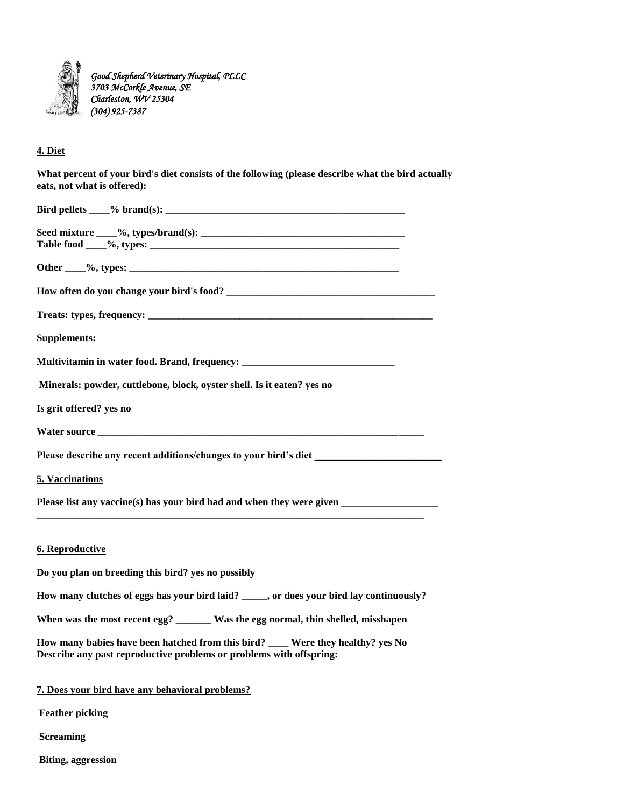

## **4. Diet**

| What percent of your bird's diet consists of the following (please describe what the bird actually |
|----------------------------------------------------------------------------------------------------|
| eats, not what is offered):                                                                        |

| <b>Supplements:</b>                                                                                                                                    |
|--------------------------------------------------------------------------------------------------------------------------------------------------------|
| Multivitamin in water food. Brand, frequency: __________________________________                                                                       |
| Minerals: powder, cuttlebone, block, oyster shell. Is it eaten? yes no                                                                                 |
| Is grit offered? yes no                                                                                                                                |
|                                                                                                                                                        |
|                                                                                                                                                        |
| 5. Vaccinations                                                                                                                                        |
| Please list any vaccine(s) has your bird had and when they were given                                                                                  |
| <b>6. Reproductive</b>                                                                                                                                 |
| Do you plan on breeding this bird? yes no possibly                                                                                                     |
| How many clutches of eggs has your bird laid? _____, or does your bird lay continuously?                                                               |
| When was the most recent egg? ______ Was the egg normal, thin shelled, misshapen                                                                       |
| How many babies have been hatched from this bird? ___ Were they healthy? yes No<br>Describe any past reproductive problems or problems with offspring: |
| 7. Does your bird have any behavioral problems?                                                                                                        |

**Feather picking** 

**Screaming** 

**Biting, aggression**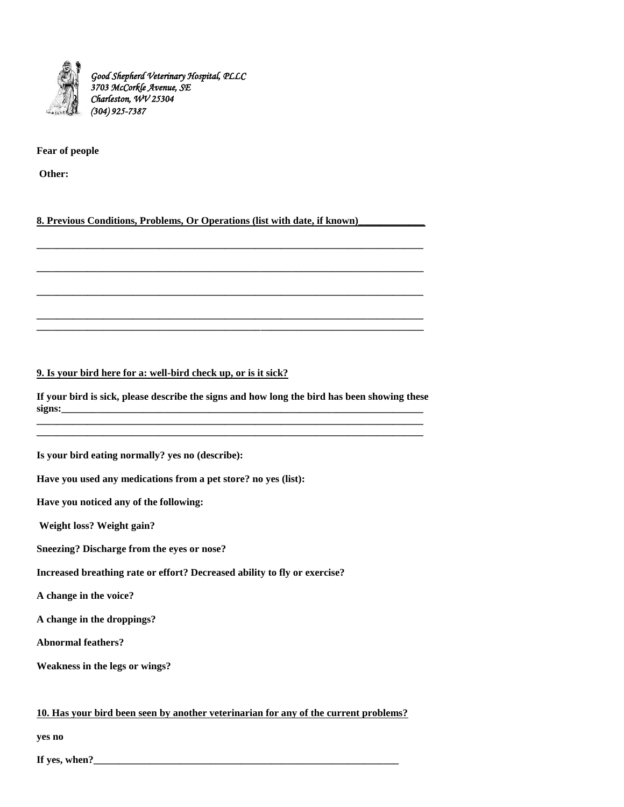

#### **Fear of people**

**Other:** 

### 8. Previous Conditions, Problems, Or Operations (list with date, if known)

#### **9. Is your bird here for a: well-bird check up, or is it sick?**

**If your bird is sick, please describe the signs and how long the bird has been showing these signs:\_\_\_\_\_\_\_\_\_\_\_\_\_\_\_\_\_\_\_\_\_\_\_\_\_\_\_\_\_\_\_\_\_\_\_\_\_\_\_\_\_\_\_\_\_\_\_\_\_\_\_\_\_\_\_\_\_\_\_\_\_\_\_\_\_\_\_\_\_\_\_ \_\_\_\_\_\_\_\_\_\_\_\_\_\_\_\_\_\_\_\_\_\_\_\_\_\_\_\_\_\_\_\_\_\_\_\_\_\_\_\_\_\_\_\_\_\_\_\_\_\_\_\_\_\_\_\_\_\_\_\_\_\_\_\_\_\_\_\_\_\_\_\_\_\_\_\_**

**\_\_\_\_\_\_\_\_\_\_\_\_\_\_\_\_\_\_\_\_\_\_\_\_\_\_\_\_\_\_\_\_\_\_\_\_\_\_\_\_\_\_\_\_\_\_\_\_\_\_\_\_\_\_\_\_\_\_\_\_\_\_\_\_\_\_\_\_\_\_\_\_\_\_\_\_** 

**\_\_\_\_\_\_\_\_\_\_\_\_\_\_\_\_\_\_\_\_\_\_\_\_\_\_\_\_\_\_\_\_\_\_\_\_\_\_\_\_\_\_\_\_\_\_\_\_\_\_\_\_\_\_\_\_\_\_\_\_\_\_\_\_\_\_\_\_\_\_\_\_\_\_\_\_** 

**\_\_\_\_\_\_\_\_\_\_\_\_\_\_\_\_\_\_\_\_\_\_\_\_\_\_\_\_\_\_\_\_\_\_\_\_\_\_\_\_\_\_\_\_\_\_\_\_\_\_\_\_\_\_\_\_\_\_\_\_\_\_\_\_\_\_\_\_\_\_\_\_\_\_\_\_** 

**\_\_\_\_\_\_\_\_\_\_\_\_\_\_\_\_\_\_\_\_\_\_\_\_\_\_\_\_\_\_\_\_\_\_\_\_\_\_\_\_\_\_\_\_\_\_\_\_\_\_\_\_\_\_\_\_\_\_\_\_\_\_\_\_\_\_\_\_\_\_\_\_\_\_\_\_** 

**\_\_\_\_\_\_\_\_\_\_\_\_\_\_\_\_\_\_\_\_\_\_\_\_\_\_\_\_\_\_\_\_\_\_\_\_\_\_\_\_\_\_\_\_\_\_\_\_\_\_\_\_\_\_\_\_\_\_\_\_\_\_\_\_\_\_\_\_\_\_\_\_\_\_\_\_ \_\_\_\_\_\_\_\_\_\_\_\_\_\_\_\_\_\_\_\_\_\_\_\_\_\_\_\_\_\_\_\_\_\_\_\_\_\_\_\_\_\_\_\_\_\_\_\_\_\_\_\_\_\_\_\_\_\_\_\_\_\_\_\_\_\_\_\_\_\_\_\_\_\_\_\_** 

**Is your bird eating normally? yes no (describe):** 

**Have you used any medications from a pet store? no yes (list):** 

**Have you noticed any of the following:** 

**Weight loss? Weight gain?** 

**Sneezing? Discharge from the eyes or nose?** 

**Increased breathing rate or effort? Decreased ability to fly or exercise?** 

**A change in the voice?** 

**A change in the droppings?** 

**Abnormal feathers?** 

**Weakness in the legs or wings?** 

#### **10. Has your bird been seen by another veterinarian for any of the current problems?**

**yes no** 

**If yes, when?\_\_\_\_\_\_\_\_\_\_\_\_\_\_\_\_\_\_\_\_\_\_\_\_\_\_\_\_\_\_\_\_\_\_\_\_\_\_\_\_\_\_\_\_\_\_\_\_\_\_\_\_\_\_\_\_\_\_\_\_**